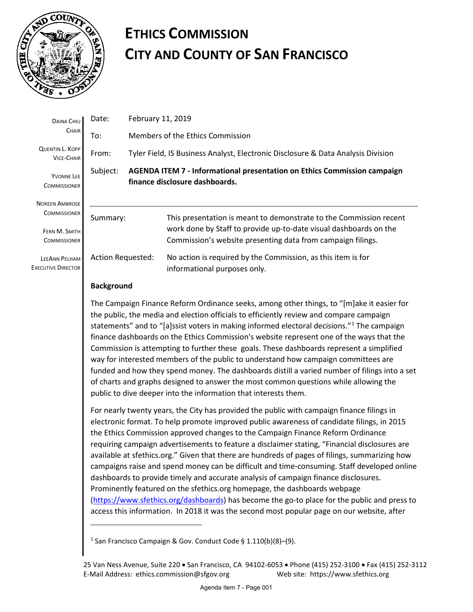

## **ETHICS COMMISSION CITY AND COUNTY OF SAN FRANCISCO**

| <b>DAINA CHIU</b><br><b>CHAIR</b>                 | Date:                    | February 11, 2019                                                                                                 |                                                                                              |
|---------------------------------------------------|--------------------------|-------------------------------------------------------------------------------------------------------------------|----------------------------------------------------------------------------------------------|
|                                                   | To:                      | Members of the Ethics Commission                                                                                  |                                                                                              |
| <b>QUENTIN L. KOPP</b><br><b>VICE-CHAIR</b>       | From:                    | Tyler Field, IS Business Analyst, Electronic Disclosure & Data Analysis Division                                  |                                                                                              |
| <b>YVONNE LEE</b><br><b>COMMISSIONER</b>          | Subject:                 | <b>AGENDA ITEM 7 - Informational presentation on Ethics Commission campaign</b><br>finance disclosure dashboards. |                                                                                              |
| <b>NOREEN AMBROSE</b><br><b>COMMISSIONER</b>      |                          |                                                                                                                   |                                                                                              |
|                                                   | Summary:                 |                                                                                                                   | This presentation is meant to demonstrate to the Commission recent                           |
| FERN M. SMITH                                     |                          |                                                                                                                   | work done by Staff to provide up-to-date visual dashboards on the                            |
| <b>COMMISSIONER</b>                               |                          |                                                                                                                   | Commission's website presenting data from campaign filings.                                  |
| <b>LEEANN PELHAM</b><br><b>EXECUTIVE DIRECTOR</b> | <b>Action Requested:</b> |                                                                                                                   | No action is required by the Commission, as this item is for<br>informational purposes only. |
|                                                   | <b>Background</b>        |                                                                                                                   |                                                                                              |

The Campaign Finance Reform Ordinance seeks, among other things, to "[m]ake it easier for the public, the media and election officials to efficiently review and compare campaign statements" and to "[a]ssist voters in making informed electoral decisions."[1](#page-0-0) The campaign finance dashboards on the Ethics Commission's website represent one of the ways that the Commission is attempting to further these goals. These dashboards represent a simplified way for interested members of the public to understand how campaign committees are funded and how they spend money. The dashboards distill a varied number of filings into a set of charts and graphs designed to answer the most common questions while allowing the public to dive deeper into the information that interests them.

For nearly twenty years, the City has provided the public with campaign finance filings in electronic format. To help promote improved public awareness of candidate filings, in 2015 the Ethics Commission approved changes to the Campaign Finance Reform Ordinance requiring campaign advertisements to feature a disclaimer stating, "Financial disclosures are available at sfethics.org." Given that there are hundreds of pages of filings, summarizing how campaigns raise and spend money can be difficult and time-consuming. Staff developed online dashboards to provide timely and accurate analysis of campaign finance disclosures. Prominently featured on the sfethics.org homepage, the dashboards webpage [\(https://www.sfethics.org/dashboards\)](https://www.sfethics.org/dashboards) has become the go-to place for the public and press to access this information. In 2018 it was the second most popular page on our website, after

<u>.</u>

<span id="page-0-0"></span><sup>&</sup>lt;sup>1</sup> San Francisco Campaign & Gov. Conduct Code § 1.110(b)(8)–(9).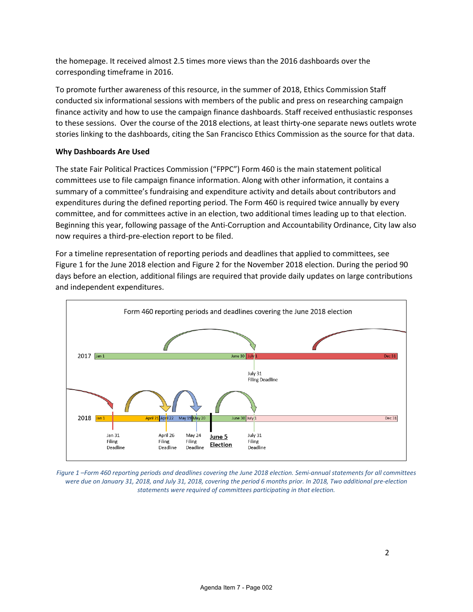the homepage. It received almost 2.5 times more views than the 2016 dashboards over the corresponding timeframe in 2016.

To promote further awareness of this resource, in the summer of 2018, Ethics Commission Staff conducted six informational sessions with members of the public and press on researching campaign finance activity and how to use the campaign finance dashboards. Staff received enthusiastic responses to these sessions. Over the course of the 2018 elections, at least thirty-one separate news outlets wrote stories linking to the dashboards, citing the San Francisco Ethics Commission as the source for that data.

## **Why Dashboards Are Used**

The state Fair Political Practices Commission ("FPPC") Form 460 is the main statement political committees use to file campaign finance information. Along with other information, it contains a summary of a committee's fundraising and expenditure activity and details about contributors and expenditures during the defined reporting period. The Form 460 is required twice annually by every committee, and for committees active in an election, two additional times leading up to that election. Beginning this year, following passage of the Anti-Corruption and Accountability Ordinance, City law also now requires a third-pre-election report to be filed.

For a timeline representation of reporting periods and deadlines that applied to committees, see [Figure 1](#page-1-0) for the June 2018 election and [Figure 2](#page-2-0) for the November 2018 election. During the period 90 days before an election, additional filings are required that provide daily updates on large contributions and independent expenditures.



<span id="page-1-0"></span>*Figure 1 –Form 460 reporting periods and deadlines covering the June 2018 election. Semi-annual statements for all committees were due on January 31, 2018, and July 31, 2018, covering the period 6 months prior. In 2018, Two additional pre-election statements were required of committees participating in that election.*